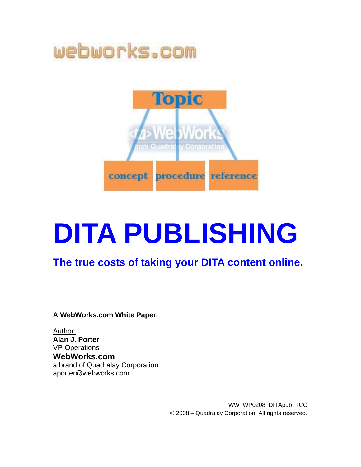

# **DITA PUBLISHING**

#### **The true costs of taking your DITA content online.**

**A WebWorks.com White Paper.** 

Author: **Alan J. Porter**  VP-Operations **WebWorks.com**  a brand of Quadralay Corporation aporter@webworks.com

> WW\_WP0208\_DITApub\_TCO © 2008 – Quadralay Corporation. All rights reserved.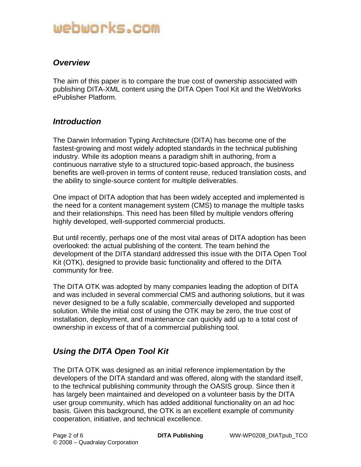#### *Overview*

The aim of this paper is to compare the true cost of ownership associated with publishing DITA-XML content using the DITA Open Tool Kit and the WebWorks ePublisher Platform.

#### *Introduction*

The Darwin Information Typing Architecture (DITA) has become one of the fastest-growing and most widely adopted standards in the technical publishing industry. While its adoption means a paradigm shift in authoring, from a continuous narrative style to a structured topic-based approach, the business benefits are well-proven in terms of content reuse, reduced translation costs, and the ability to single-source content for multiple deliverables.

One impact of DITA adoption that has been widely accepted and implemented is the need for a content management system (CMS) to manage the multiple tasks and their relationships. This need has been filled by multiple vendors offering highly developed, well-supported commercial products.

But until recently, perhaps one of the most vital areas of DITA adoption has been overlooked: the actual publishing of the content. The team behind the development of the DITA standard addressed this issue with the DITA Open Tool Kit (OTK), designed to provide basic functionality and offered to the DITA community for free.

The DITA OTK was adopted by many companies leading the adoption of DITA and was included in several commercial CMS and authoring solutions, but it was never designed to be a fully scalable, commercially developed and supported solution. While the initial cost of using the OTK may be zero, the true cost of installation, deployment, and maintenance can quickly add up to a total cost of ownership in excess of that of a commercial publishing tool.

#### *Using the DITA Open Tool Kit*

The DITA OTK was designed as an initial reference implementation by the developers of the DITA standard and was offered, along with the standard itself, to the technical publishing community through the OASIS group. Since then it has largely been maintained and developed on a volunteer basis by the DITA user group community, which has added additional functionality on an ad hoc basis. Given this background, the OTK is an excellent example of community cooperation, initiative, and technical excellence.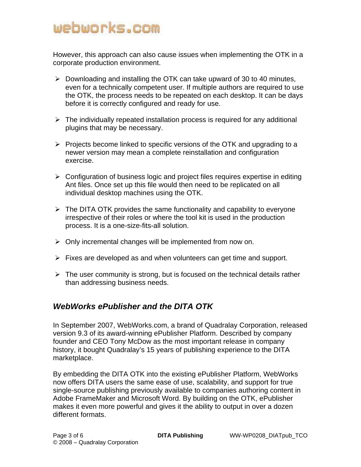However, this approach can also cause issues when implementing the OTK in a corporate production environment.

- $\triangleright$  Downloading and installing the OTK can take upward of 30 to 40 minutes, even for a technically competent user. If multiple authors are required to use the OTK, the process needs to be repeated on each desktop. It can be days before it is correctly configured and ready for use.
- $\triangleright$  The individually repeated installation process is required for any additional plugins that may be necessary.
- $\triangleright$  Projects become linked to specific versions of the OTK and upgrading to a newer version may mean a complete reinstallation and configuration exercise.
- $\triangleright$  Configuration of business logic and project files requires expertise in editing Ant files. Once set up this file would then need to be replicated on all individual desktop machines using the OTK.
- $\triangleright$  The DITA OTK provides the same functionality and capability to everyone irrespective of their roles or where the tool kit is used in the production process. It is a one-size-fits-all solution.
- $\triangleright$  Only incremental changes will be implemented from now on.
- $\triangleright$  Fixes are developed as and when volunteers can get time and support.
- $\triangleright$  The user community is strong, but is focused on the technical details rather than addressing business needs.

#### *WebWorks ePublisher and the DITA OTK*

In September 2007, WebWorks.com, a brand of Quadralay Corporation, released version 9.3 of its award-winning ePublisher Platform. Described by company founder and CEO Tony McDow as the most important release in company history, it bought Quadralay's 15 years of publishing experience to the DITA marketplace.

By embedding the DITA OTK into the existing ePublisher Platform, WebWorks now offers DITA users the same ease of use, scalability, and support for true single-source publishing previously available to companies authoring content in Adobe FrameMaker and Microsoft Word. By building on the OTK, ePublisher makes it even more powerful and gives it the ability to output in over a dozen different formats.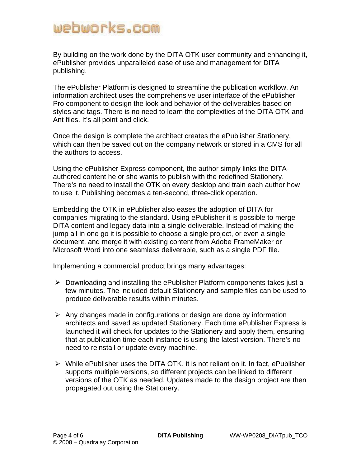By building on the work done by the DITA OTK user community and enhancing it, ePublisher provides unparalleled ease of use and management for DITA publishing.

The ePublisher Platform is designed to streamline the publication workflow. An information architect uses the comprehensive user interface of the ePublisher Pro component to design the look and behavior of the deliverables based on styles and tags. There is no need to learn the complexities of the DITA OTK and Ant files. It's all point and click.

Once the design is complete the architect creates the ePublisher Stationery, which can then be saved out on the company network or stored in a CMS for all the authors to access.

Using the ePublisher Express component, the author simply links the DITAauthored content he or she wants to publish with the redefined Stationery. There's no need to install the OTK on every desktop and train each author how to use it. Publishing becomes a ten-second, three-click operation.

Embedding the OTK in ePublisher also eases the adoption of DITA for companies migrating to the standard. Using ePublisher it is possible to merge DITA content and legacy data into a single deliverable. Instead of making the jump all in one go it is possible to choose a single project, or even a single document, and merge it with existing content from Adobe FrameMaker or Microsoft Word into one seamless deliverable, such as a single PDF file.

Implementing a commercial product brings many advantages:

- ¾ Downloading and installing the ePublisher Platform components takes just a few minutes. The included default Stationery and sample files can be used to produce deliverable results within minutes.
- $\triangleright$  Any changes made in configurations or design are done by information architects and saved as updated Stationery. Each time ePublisher Express is launched it will check for updates to the Stationery and apply them, ensuring that at publication time each instance is using the latest version. There's no need to reinstall or update every machine.
- ¾ While ePublisher uses the DITA OTK, it is not reliant on it. In fact, ePublisher supports multiple versions, so different projects can be linked to different versions of the OTK as needed. Updates made to the design project are then propagated out using the Stationery.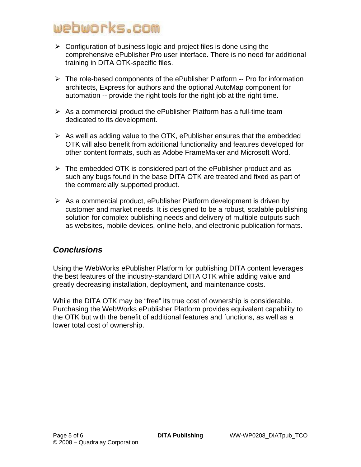- $\triangleright$  Configuration of business logic and project files is done using the comprehensive ePublisher Pro user interface. There is no need for additional training in DITA OTK-specific files.
- $\triangleright$  The role-based components of the ePublisher Platform -- Pro for information architects, Express for authors and the optional AutoMap component for automation -- provide the right tools for the right job at the right time.
- $\triangleright$  As a commercial product the ePublisher Platform has a full-time team dedicated to its development.
- $\triangleright$  As well as adding value to the OTK, ePublisher ensures that the embedded OTK will also benefit from additional functionality and features developed for other content formats, such as Adobe FrameMaker and Microsoft Word.
- $\triangleright$  The embedded OTK is considered part of the ePublisher product and as such any bugs found in the base DITA OTK are treated and fixed as part of the commercially supported product.
- $\triangleright$  As a commercial product, ePublisher Platform development is driven by customer and market needs. It is designed to be a robust, scalable publishing solution for complex publishing needs and delivery of multiple outputs such as websites, mobile devices, online help, and electronic publication formats.

#### *Conclusions*

Using the WebWorks ePublisher Platform for publishing DITA content leverages the best features of the industry-standard DITA OTK while adding value and greatly decreasing installation, deployment, and maintenance costs.

While the DITA OTK may be "free" its true cost of ownership is considerable. Purchasing the WebWorks ePublisher Platform provides equivalent capability to the OTK but with the benefit of additional features and functions, as well as a lower total cost of ownership.